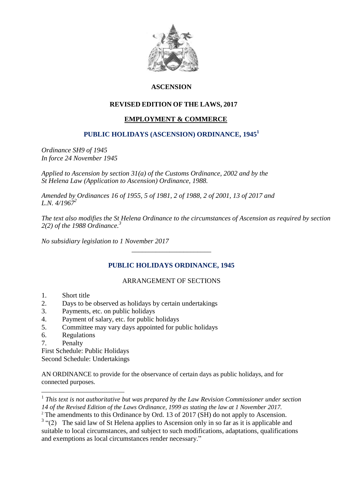

# **ASCENSION**

# **REVISED EDITION OF THE LAWS, 2017**

# **EMPLOYMENT & COMMERCE**

# **PUBLIC HOLIDAYS (ASCENSION) ORDINANCE, 1945<sup>1</sup>**

*Ordinance SH9 of 1945 In force 24 November 1945*

*Applied to Ascension by section 31(a) of the Customs Ordinance, 2002 and by the St Helena Law (Application to Ascension) Ordinance, 1988.*

*Amended by Ordinances 16 of 1955, 5 of 1981, 2 of 1988, 2 of 2001, 13 of 2017 and L.N. 4/1967<sup>2</sup>*

*The text also modifies the St Helena Ordinance to the circumstances of Ascension as required by section 2(2) of the 1988 Ordinance. 3*

*No subsidiary legislation to 1 November 2017*

# **PUBLIC HOLIDAYS ORDINANCE, 1945**

\_\_\_\_\_\_\_\_\_\_\_\_\_\_\_\_\_\_\_\_\_\_\_

### ARRANGEMENT OF SECTIONS

- 1. Short title
- 2. Days to be observed as holidays by certain undertakings
- 3. Payments, etc. on public holidays
- 4. Payment of salary, etc. for public holidays
- 5. Committee may vary days appointed for public holidays
- 6. Regulations
- 7. Penalty

1

First Schedule: Public Holidays Second Schedule: Undertakings

AN ORDINANCE to provide for the observance of certain days as public holidays, and for connected purposes.

<sup>&</sup>lt;sup>1</sup> This text is not authoritative but was prepared by the Law Revision Commissioner under section *14 of the Revised Edition of the Laws Ordinance, 1999 as stating the law at 1 November 2017.*

 $2$ <sup>2</sup> The amendments to this Ordinance by Ord. 13 of 2017 (SH) do not apply to Ascension.

 $3$  "(2) The said law of St Helena applies to Ascension only in so far as it is applicable and suitable to local circumstances, and subject to such modifications, adaptations, qualifications and exemptions as local circumstances render necessary."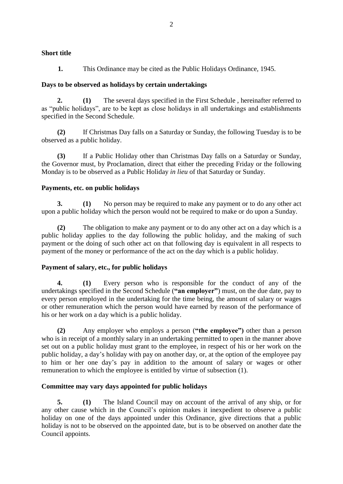## **Short title**

**1.** This Ordinance may be cited as the Public Holidays Ordinance, 1945.

### **Days to be observed as holidays by certain undertakings**

**2. (1)** The several days specified in the First Schedule , hereinafter referred to as "public holidays", are to be kept as close holidays in all undertakings and establishments specified in the Second Schedule.

**(2)** If Christmas Day falls on a Saturday or Sunday, the following Tuesday is to be observed as a public holiday.

**(3)** If a Public Holiday other than Christmas Day falls on a Saturday or Sunday, the Governor must, by Proclamation, direct that either the preceding Friday or the following Monday is to be observed as a Public Holiday *in lieu* of that Saturday or Sunday.

## **Payments, etc. on public holidays**

**3. (1)** No person may be required to make any payment or to do any other act upon a public holiday which the person would not be required to make or do upon a Sunday.

**(2)** The obligation to make any payment or to do any other act on a day which is a public holiday applies to the day following the public holiday, and the making of such payment or the doing of such other act on that following day is equivalent in all respects to payment of the money or performance of the act on the day which is a public holiday.

# **Payment of salary, etc., for public holidays**

**4. (1)** Every person who is responsible for the conduct of any of the undertakings specified in the Second Schedule (**"an employer"**) must, on the due date, pay to every person employed in the undertaking for the time being, the amount of salary or wages or other remuneration which the person would have earned by reason of the performance of his or her work on a day which is a public holiday.

**(2)** Any employer who employs a person (**"the employee")** other than a person who is in receipt of a monthly salary in an undertaking permitted to open in the manner above set out on a public holiday must grant to the employee, in respect of his or her work on the public holiday, a day's holiday with pay on another day, or, at the option of the employee pay to him or her one day's pay in addition to the amount of salary or wages or other remuneration to which the employee is entitled by virtue of subsection (1).

### **Committee may vary days appointed for public holidays**

**5. (1)** The Island Council may on account of the arrival of any ship, or for any other cause which in the Council's opinion makes it inexpedient to observe a public holiday on one of the days appointed under this Ordinance, give directions that a public holiday is not to be observed on the appointed date, but is to be observed on another date the Council appoints.